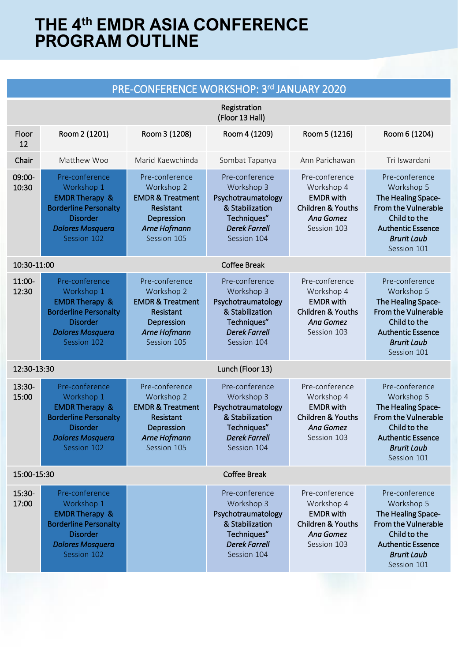| PRE-CONFERENCE WORKSHOP: 3rd JANUARY 2020 |                                                                                                                                                        |                                                                                                                       |                                                                                                                             |                                                                                                              |                                                                                                                                                                   |
|-------------------------------------------|--------------------------------------------------------------------------------------------------------------------------------------------------------|-----------------------------------------------------------------------------------------------------------------------|-----------------------------------------------------------------------------------------------------------------------------|--------------------------------------------------------------------------------------------------------------|-------------------------------------------------------------------------------------------------------------------------------------------------------------------|
|                                           |                                                                                                                                                        |                                                                                                                       | Registration<br>(Floor 13 Hall)                                                                                             |                                                                                                              |                                                                                                                                                                   |
| Floor<br>12                               | Room 2 (1201)                                                                                                                                          | Room 3 (1208)                                                                                                         | Room 4 (1209)                                                                                                               | Room 5 (1216)                                                                                                | Room 6 (1204)                                                                                                                                                     |
| Chair                                     | Matthew Woo                                                                                                                                            | Marid Kaewchinda                                                                                                      | Sombat Tapanya                                                                                                              | Ann Parichawan                                                                                               | Tri Iswardani                                                                                                                                                     |
| 09:00-<br>10:30                           | Pre-conference<br>Workshop 1<br><b>EMDR Therapy &amp;</b><br><b>Borderline Personalty</b><br><b>Disorder</b><br><b>Dolores Mosquera</b><br>Session 102 | Pre-conference<br>Workshop 2<br><b>EMDR &amp; Treatment</b><br>Resistant<br>Depression<br>Arne Hofmann<br>Session 105 | Pre-conference<br>Workshop 3<br>Psychotraumatology<br>& Stabilization<br>Techniques"<br><b>Derek Farrell</b><br>Session 104 | Pre-conference<br>Workshop 4<br><b>EMDR</b> with<br><b>Children &amp; Youths</b><br>Ana Gomez<br>Session 103 | Pre-conference<br>Workshop 5<br>The Healing Space-<br><b>From the Vulnerable</b><br>Child to the<br><b>Authentic Essence</b><br><b>Brurit Laub</b><br>Session 101 |
| 10:30-11:00<br><b>Coffee Break</b>        |                                                                                                                                                        |                                                                                                                       |                                                                                                                             |                                                                                                              |                                                                                                                                                                   |
| 11:00-<br>12:30                           | Pre-conference<br>Workshop 1<br><b>EMDR Therapy &amp;</b><br><b>Borderline Personalty</b><br><b>Disorder</b><br><b>Dolores Mosquera</b><br>Session 102 | Pre-conference<br>Workshop 2<br><b>EMDR &amp; Treatment</b><br>Resistant<br>Depression<br>Arne Hofmann<br>Session 105 | Pre-conference<br>Workshop 3<br>Psychotraumatology<br>& Stabilization<br>Techniques"<br><b>Derek Farrell</b><br>Session 104 | Pre-conference<br>Workshop 4<br><b>EMDR</b> with<br><b>Children &amp; Youths</b><br>Ana Gomez<br>Session 103 | Pre-conference<br>Workshop 5<br>The Healing Space-<br><b>From the Vulnerable</b><br>Child to the<br><b>Authentic Essence</b><br><b>Brurit Laub</b><br>Session 101 |
| 12:30-13:30<br>Lunch (Floor 13)           |                                                                                                                                                        |                                                                                                                       |                                                                                                                             |                                                                                                              |                                                                                                                                                                   |
| 13:30-<br>15:00                           | Pre-conference<br>Workshop 1<br><b>EMDR Therapy &amp;</b><br><b>Borderline Personalty</b><br><b>Disorder</b><br><b>Dolores Mosquera</b><br>Session 102 | Pre-conference<br>Workshop 2<br><b>EMDR &amp; Treatment</b><br>Resistant<br>Depression<br>Arne Hofmann<br>Session 105 | Pre-conference<br>Workshop 3<br>Psychotraumatology<br>& Stabilization<br>Techniques"<br><b>Derek Farrell</b><br>Session 104 | Pre-conference<br>Workshop 4<br><b>EMDR</b> with<br><b>Children &amp; Youths</b><br>Ana Gomez<br>Session 103 | Pre-conference<br>Workshop 5<br>The Healing Space-<br>From the Vulnerable<br>Child to the<br><b>Authentic Essence</b><br><b>Brurit Laub</b><br>Session 101        |
| 15:00-15:30                               |                                                                                                                                                        |                                                                                                                       | <b>Coffee Break</b>                                                                                                         |                                                                                                              |                                                                                                                                                                   |
| 15:30-<br>17:00                           | Pre-conference<br>Workshop 1<br><b>EMDR Therapy &amp;</b><br><b>Borderline Personalty</b><br><b>Disorder</b><br><b>Dolores Mosquera</b><br>Session 102 |                                                                                                                       | Pre-conference<br>Workshop 3<br>Psychotraumatology<br>& Stabilization<br>Techniques"<br><b>Derek Farrell</b><br>Session 104 | Pre-conference<br>Workshop 4<br><b>EMDR</b> with<br><b>Children &amp; Youths</b><br>Ana Gomez<br>Session 103 | Pre-conference<br>Workshop 5<br>The Healing Space-<br><b>From the Vulnerable</b><br>Child to the<br><b>Authentic Essence</b><br><b>Brurit Laub</b><br>Session 101 |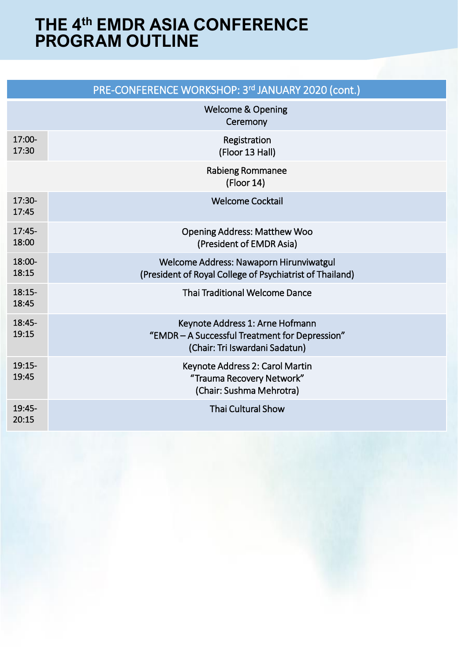|                   | PRE-CONFERENCE WORKSHOP: 3rd JANUARY 2020 (cont.)                                                                   |
|-------------------|---------------------------------------------------------------------------------------------------------------------|
|                   | <b>Welcome &amp; Opening</b><br>Ceremony                                                                            |
| 17:00-<br>17:30   | Registration<br>(Floor 13 Hall)                                                                                     |
|                   | Rabieng Rommanee<br>(Floor 14)                                                                                      |
| $17:30-$<br>17:45 | <b>Welcome Cocktail</b>                                                                                             |
| $17:45-$<br>18:00 | <b>Opening Address: Matthew Woo</b><br>(President of EMDR Asia)                                                     |
| 18:00-<br>18:15   | Welcome Address: Nawaporn Hirunviwatgul<br>(President of Royal College of Psychiatrist of Thailand)                 |
| $18:15-$<br>18:45 | <b>Thai Traditional Welcome Dance</b>                                                                               |
| 18:45-<br>19:15   | Keynote Address 1: Arne Hofmann<br>"EMDR - A Successful Treatment for Depression"<br>(Chair: Tri Iswardani Sadatun) |
| $19:15-$<br>19:45 | Keynote Address 2: Carol Martin<br>"Trauma Recovery Network"<br>(Chair: Sushma Mehrotra)                            |
| 19:45-<br>20:15   | <b>Thai Cultural Show</b>                                                                                           |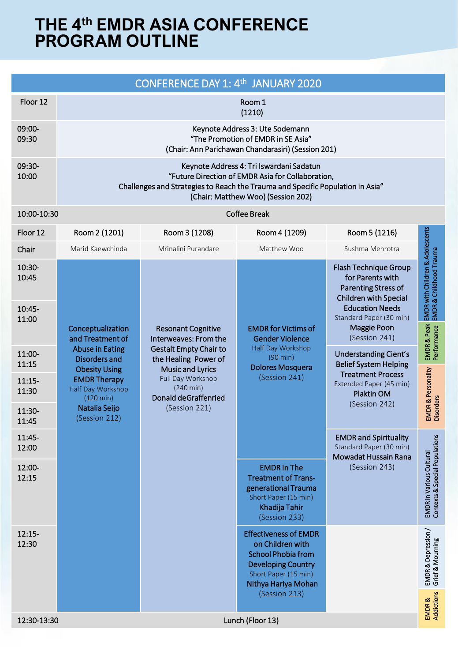|                   |                                                                                                                                                                                                                       | CONFERENCE DAY 1: 4th JANUARY 2020                                                                                                                                                                         |                                                                                                                                                           |                                                                                                                                                                                                                        |                                                                                     |
|-------------------|-----------------------------------------------------------------------------------------------------------------------------------------------------------------------------------------------------------------------|------------------------------------------------------------------------------------------------------------------------------------------------------------------------------------------------------------|-----------------------------------------------------------------------------------------------------------------------------------------------------------|------------------------------------------------------------------------------------------------------------------------------------------------------------------------------------------------------------------------|-------------------------------------------------------------------------------------|
| Floor 12          | Room 1<br>(1210)                                                                                                                                                                                                      |                                                                                                                                                                                                            |                                                                                                                                                           |                                                                                                                                                                                                                        |                                                                                     |
| 09:00-<br>09:30   | Keynote Address 3: Ute Sodemann<br>"The Promotion of EMDR in SE Asia"<br>(Chair: Ann Parichawan Chandarasiri) (Session 201)                                                                                           |                                                                                                                                                                                                            |                                                                                                                                                           |                                                                                                                                                                                                                        |                                                                                     |
| 09:30-<br>10:00   | Keynote Address 4: Tri Iswardani Sadatun<br>"Future Direction of EMDR Asia for Collaboration,<br>Challenges and Strategies to Reach the Trauma and Specific Population in Asia"<br>(Chair: Matthew Woo) (Session 202) |                                                                                                                                                                                                            |                                                                                                                                                           |                                                                                                                                                                                                                        |                                                                                     |
| 10:00-10:30       |                                                                                                                                                                                                                       |                                                                                                                                                                                                            | <b>Coffee Break</b>                                                                                                                                       |                                                                                                                                                                                                                        |                                                                                     |
| Floor 12          | Room 2 (1201)                                                                                                                                                                                                         | Room 3 (1208)                                                                                                                                                                                              | Room 4 (1209)                                                                                                                                             | Room 5 (1216)                                                                                                                                                                                                          |                                                                                     |
| Chair             | Marid Kaewchinda                                                                                                                                                                                                      | Mrinalini Purandare                                                                                                                                                                                        | Matthew Woo                                                                                                                                               | Sushma Mehrotra                                                                                                                                                                                                        |                                                                                     |
| 10:30-<br>10:45   |                                                                                                                                                                                                                       |                                                                                                                                                                                                            |                                                                                                                                                           | Flash Technique Group<br>for Parents with<br><b>Parenting Stress of</b><br><b>Children with Special</b>                                                                                                                | EMDR & Peak EMDR with Children & Adolescents<br>Performance EMDR & Childhood Trauma |
| 10:45-<br>11:00   | Conceptualization<br>and Treatment of                                                                                                                                                                                 | <b>Resonant Cognitive</b><br>Interweaves: From the<br><b>Gestalt Empty Chair to</b><br>the Healing Power of<br><b>Music and Lyrics</b><br>Full Day Workshop<br>$(240 \text{ min})$<br>Donald deGraffenried | <b>EMDR</b> for Victims of<br><b>Gender Violence</b><br>Half Day Workshop<br>(90 min)<br><b>Dolores Mosquera</b><br>(Session 241)                         | <b>Education Needs</b><br>Standard Paper (30 min)<br>Maggie Poon<br>(Session 241)<br><b>Understanding Cient's</b><br><b>Belief System Helping</b><br><b>Treatment Process</b><br>Extended Paper (45 min)<br>Plaktin OM |                                                                                     |
| 11:00-<br>11:15   | <b>Abuse in Eating</b><br><b>Disorders and</b>                                                                                                                                                                        |                                                                                                                                                                                                            |                                                                                                                                                           |                                                                                                                                                                                                                        |                                                                                     |
| $11:15-$<br>11:30 | <b>Obesity Using</b><br><b>EMDR Therapy</b><br>Half Day Workshop<br>$(120 \text{ min})$<br>Natalia Seijo<br>(Session 212)                                                                                             |                                                                                                                                                                                                            |                                                                                                                                                           |                                                                                                                                                                                                                        | EMDR & Personality<br>Disorders                                                     |
| 11:30-<br>11:45   |                                                                                                                                                                                                                       | (Session 221)                                                                                                                                                                                              |                                                                                                                                                           | (Session 242)                                                                                                                                                                                                          |                                                                                     |
| 11:45-<br>12:00   |                                                                                                                                                                                                                       |                                                                                                                                                                                                            |                                                                                                                                                           | <b>EMDR</b> and Spirituality<br>Standard Paper (30 min)<br>Mowadat Hussain Rana                                                                                                                                        | lations<br>EMDR in Various Cultural<br>Contexts & Special Popul                     |
| 12:00-<br>12:15   |                                                                                                                                                                                                                       |                                                                                                                                                                                                            | <b>EMDR</b> in The<br><b>Treatment of Trans-</b><br>generational Trauma<br>Short Paper (15 min)<br>Khadija Tahir<br>(Session 233)                         | (Session 243)                                                                                                                                                                                                          |                                                                                     |
| $12:15-$<br>12:30 |                                                                                                                                                                                                                       |                                                                                                                                                                                                            | <b>Effectiveness of EMDR</b><br>on Children with<br><b>School Phobia from</b><br><b>Developing Country</b><br>Short Paper (15 min)<br>Nithya Hariya Mohan |                                                                                                                                                                                                                        | EMDR & Depression /<br>Grief & Mourning                                             |
| 12:30-13:30       |                                                                                                                                                                                                                       |                                                                                                                                                                                                            | (Session 213)<br>Lunch (Floor 13)                                                                                                                         |                                                                                                                                                                                                                        | <b>Addictions</b><br>EMDR&                                                          |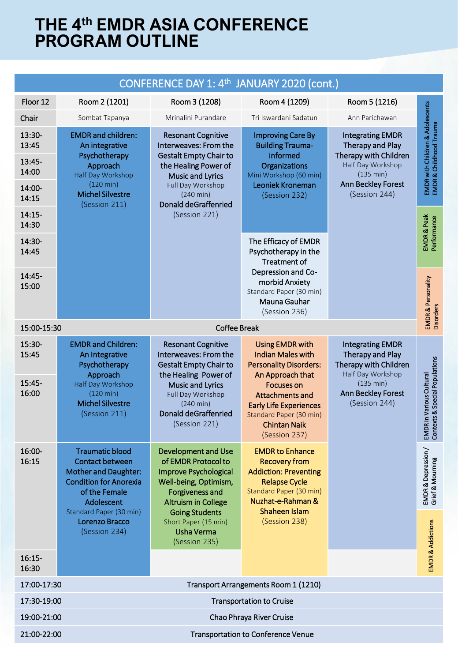|                                                          |                                                                                                                                                                  | CONFERENCE DAY 1: 4th JANUARY 2020 (cont.)                                                                                                                                                                                  |                                                                                                                                                                                                                             |                                                                                                                                               |                                                             |
|----------------------------------------------------------|------------------------------------------------------------------------------------------------------------------------------------------------------------------|-----------------------------------------------------------------------------------------------------------------------------------------------------------------------------------------------------------------------------|-----------------------------------------------------------------------------------------------------------------------------------------------------------------------------------------------------------------------------|-----------------------------------------------------------------------------------------------------------------------------------------------|-------------------------------------------------------------|
| Floor 12                                                 | Room 2 (1201)                                                                                                                                                    | Room 3 (1208)                                                                                                                                                                                                               | Room 4 (1209)                                                                                                                                                                                                               | Room 5 (1216)                                                                                                                                 |                                                             |
| Chair                                                    | Sombat Tapanya                                                                                                                                                   | Mrinalini Purandare                                                                                                                                                                                                         | Tri Iswardani Sadatun                                                                                                                                                                                                       | Ann Parichawan                                                                                                                                |                                                             |
| 13:30-<br>13:45                                          | <b>EMDR</b> and children:<br>An integrative                                                                                                                      | <b>Resonant Cognitive</b><br>Interweaves: From the                                                                                                                                                                          | <b>Improving Care By</b><br><b>Building Trauma-</b>                                                                                                                                                                         | <b>Integrating EMDR</b><br>Therapy and Play                                                                                                   | EMDR with Children & Adolescents<br>EMDR & Childhood Trauma |
| 13:45-<br>14:00                                          | Psychotherapy<br>Approach<br>Half Day Workshop<br>$(120 \text{ min})$<br><b>Michel Silvestre</b><br>(Session 211)                                                | <b>Gestalt Empty Chair to</b><br>the Healing Power of<br><b>Music and Lyrics</b>                                                                                                                                            | informed<br>Organizations<br>Mini Workshop (60 min)<br>Leoniek Kroneman<br>(Session 232)                                                                                                                                    | Therapy with Children<br>Half Day Workshop<br>(135 min)<br>Ann Beckley Forest<br>(Session 244)                                                |                                                             |
| 14:00-<br>14:15                                          |                                                                                                                                                                  | Full Day Workshop<br>$(240 \text{ min})$<br>Donald deGraffenried<br>(Session 221)                                                                                                                                           |                                                                                                                                                                                                                             |                                                                                                                                               |                                                             |
| $14:15-$<br>14:30                                        |                                                                                                                                                                  |                                                                                                                                                                                                                             |                                                                                                                                                                                                                             |                                                                                                                                               | EMDR & Peak<br>Performance                                  |
| 14:30-<br>14:45                                          |                                                                                                                                                                  |                                                                                                                                                                                                                             | The Efficacy of EMDR<br>Psychotherapy in the<br><b>Treatment of</b><br>Depression and Co-<br>morbid Anxiety<br>Standard Paper (30 min)<br>Mauna Gauhar<br>(Session 236)                                                     |                                                                                                                                               |                                                             |
| 14:45-<br>15:00                                          |                                                                                                                                                                  |                                                                                                                                                                                                                             |                                                                                                                                                                                                                             |                                                                                                                                               | EMDR & Personality<br>Disorders                             |
|                                                          | <b>Coffee Break</b><br>15:00-15:30                                                                                                                               |                                                                                                                                                                                                                             |                                                                                                                                                                                                                             |                                                                                                                                               |                                                             |
| 15:30-<br>15:45<br>15:45-<br>16:00                       | <b>EMDR</b> and Children:<br>An Integrative<br>Psychotherapy<br>Approach<br>Half Day Workshop<br>$(120 \text{ min})$<br><b>Michel Silvestre</b><br>(Session 211) | <b>Resonant Cognitive</b><br>Interweaves: From the<br><b>Gestalt Empty Chair to</b><br>the Healing Power of<br><b>Music and Lyrics</b><br>Full Day Workshop<br>$(240 \text{ min})$<br>Donald deGraffenried<br>(Session 221) | Using EMDR with<br><b>Indian Males with</b><br><b>Personality Disorders:</b><br>An Approach that<br><b>Focuses on</b><br>Attachments and<br><b>Early Life Experiences</b><br>Standard Paper (30 min)<br><b>Chintan Naik</b> | <b>Integrating EMDR</b><br>Therapy and Play<br>Therapy with Children<br>Half Day Workshop<br>(135 min)<br>Ann Beckley Forest<br>(Session 244) | EMDR in Various Cultural<br>Contexts & Special Populations  |
| 16:00-<br>16:15                                          | Traumatic blood<br>Contact between<br><b>Mother and Daughter:</b><br><b>Condition for Anorexia</b><br>of the Female<br>Adolescent                                | <b>Development and Use</b><br>of EMDR Protocol to<br>Improve Psychological<br>Well-being, Optimism,<br>Forgiveness and<br><b>Altruism in College</b>                                                                        | (Session 237)<br><b>EMDR to Enhance</b><br><b>Recovery from</b><br><b>Addiction: Preventing</b><br><b>Relapse Cycle</b><br>Standard Paper (30 min)<br>Nuzhat-e-Rahman &<br>Shaheen Islam                                    |                                                                                                                                               | `≒<br>EMDR & Depression<br>Grief & Mourning                 |
|                                                          | Standard Paper (30 min)<br>Lorenzo Bracco<br>(Session 234)                                                                                                       | <b>Going Students</b><br>Short Paper (15 min)<br>Usha Verma<br>(Session 235)                                                                                                                                                | (Session 238)                                                                                                                                                                                                               |                                                                                                                                               | <b>EMDR &amp; Addictions</b>                                |
| $16:15-$<br>16:30                                        |                                                                                                                                                                  |                                                                                                                                                                                                                             |                                                                                                                                                                                                                             |                                                                                                                                               |                                                             |
| 17:00-17:30                                              |                                                                                                                                                                  |                                                                                                                                                                                                                             | Transport Arrangements Room 1 (1210)                                                                                                                                                                                        |                                                                                                                                               |                                                             |
| 17:30-19:00<br><b>Transportation to Cruise</b>           |                                                                                                                                                                  |                                                                                                                                                                                                                             |                                                                                                                                                                                                                             |                                                                                                                                               |                                                             |
| 19:00-21:00<br>Chao Phraya River Cruise                  |                                                                                                                                                                  |                                                                                                                                                                                                                             |                                                                                                                                                                                                                             |                                                                                                                                               |                                                             |
| <b>Transportation to Conference Venue</b><br>21:00-22:00 |                                                                                                                                                                  |                                                                                                                                                                                                                             |                                                                                                                                                                                                                             |                                                                                                                                               |                                                             |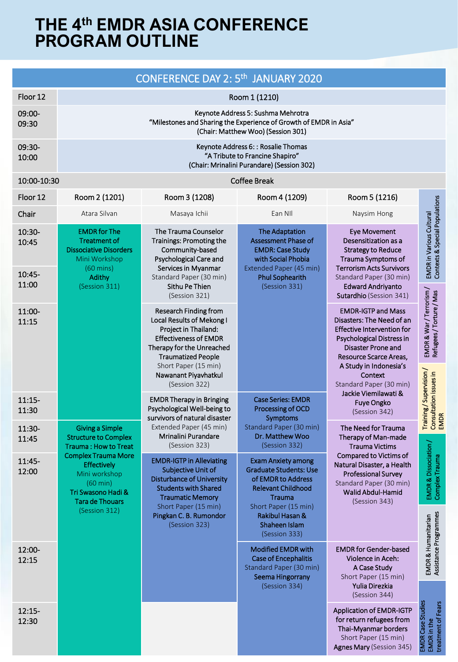|                                    |                                                                                                                                                                                                                                           | CONFERENCE DAY 2: 5 <sup>th</sup> JANUARY 2020                                                                                                                                                                                        |                                                                                                                                                                                            |                                                                                                                                                                                                                                                                                                 |                                                            |  |
|------------------------------------|-------------------------------------------------------------------------------------------------------------------------------------------------------------------------------------------------------------------------------------------|---------------------------------------------------------------------------------------------------------------------------------------------------------------------------------------------------------------------------------------|--------------------------------------------------------------------------------------------------------------------------------------------------------------------------------------------|-------------------------------------------------------------------------------------------------------------------------------------------------------------------------------------------------------------------------------------------------------------------------------------------------|------------------------------------------------------------|--|
| Floor 12                           | Room 1 (1210)                                                                                                                                                                                                                             |                                                                                                                                                                                                                                       |                                                                                                                                                                                            |                                                                                                                                                                                                                                                                                                 |                                                            |  |
| 09:00-<br>09:30                    | Keynote Address 5: Sushma Mehrotra<br>"Milestones and Sharing the Experience of Growth of EMDR in Asia"<br>(Chair: Matthew Woo) (Session 301)                                                                                             |                                                                                                                                                                                                                                       |                                                                                                                                                                                            |                                                                                                                                                                                                                                                                                                 |                                                            |  |
| 09:30-<br>10:00                    | Keynote Address 6: : Rosalie Thomas<br>"A Tribute to Francine Shapiro"<br>(Chair: Mrinalini Purandare) (Session 302)                                                                                                                      |                                                                                                                                                                                                                                       |                                                                                                                                                                                            |                                                                                                                                                                                                                                                                                                 |                                                            |  |
| 10:00-10:30                        |                                                                                                                                                                                                                                           |                                                                                                                                                                                                                                       | <b>Coffee Break</b>                                                                                                                                                                        |                                                                                                                                                                                                                                                                                                 |                                                            |  |
| Floor 12                           | Room 2 (1201)                                                                                                                                                                                                                             | Room 3 (1208)                                                                                                                                                                                                                         | Room 4 (1209)                                                                                                                                                                              | Room 5 (1216)                                                                                                                                                                                                                                                                                   |                                                            |  |
| Chair                              | Atara Silvan                                                                                                                                                                                                                              | Masaya Ichii                                                                                                                                                                                                                          | Ean NII                                                                                                                                                                                    | Naysim Hong                                                                                                                                                                                                                                                                                     |                                                            |  |
| 10:30-<br>10:45<br>10:45-<br>11:00 | <b>EMDR</b> for The<br><b>Treatment of</b><br><b>Dissociative Disorders</b><br>Mini Workshop<br>$(60 \text{ mins})$<br><b>Adithy</b><br>(Session 311)                                                                                     | The Trauma Counselor<br>Trainings: Promoting the<br>Community-based<br>Psychological Care and<br>Services in Myanmar<br>Standard Paper (30 min)<br>Sithu Pe Thien                                                                     | <b>The Adaptation</b><br>Assessment Phase of<br><b>EMDR: Case Study</b><br>with Social Phobia<br>Extended Paper (45 min)<br><b>Phul Sophearith</b><br>(Session 331)                        | <b>Eye Movement</b><br>Desensitization as a<br><b>Strategy to Reduce</b><br>Trauma Symptoms of<br><b>Terrorism Acts Survivors</b><br>Standard Paper (30 min)<br><b>Edward Andriyanto</b>                                                                                                        | Contexts & Special Populations<br>EMDR in Various Cultural |  |
|                                    |                                                                                                                                                                                                                                           | (Session 321)                                                                                                                                                                                                                         |                                                                                                                                                                                            | Sutardhio (Session 341)                                                                                                                                                                                                                                                                         |                                                            |  |
| 11:00-<br>11:15                    |                                                                                                                                                                                                                                           | Research Finding from<br>Local Results of Mekong I<br>Project in Thailand:<br><b>Effectiveness of EMDR</b><br>Therapy for the Unreached<br><b>Traumatized People</b><br>Short Paper (15 min)<br>Nawanant Piyavhatkul<br>(Session 322) |                                                                                                                                                                                            | <b>EMDR-IGTP and Mass</b><br>Disasters: The Need of an<br><b>Effective Intervention for</b><br>Psychological Distress in<br>Disaster Prone and<br>Resource Scarce Areas,<br>A Study in Indonesia's<br>Context<br>Standard Paper (30 min)<br>Jackie Viemilawati &<br>Fuye Ongko<br>(Session 342) | EMDR & War / Terrorism /<br>Refugees / Torture / Mas       |  |
| $11:15-$<br>11:30                  | <b>Giving a Simple</b><br><b>Structure to Complex</b><br>Trauma: How to Treat<br><b>Complex Trauma More</b><br><b>Effectively</b><br>Mini workshop<br>$(60 \text{ min})$<br>Tri Swasono Hadi &<br><b>Tara de Thouars</b><br>(Session 312) | <b>EMDR Therapy in Bringing</b><br>Psychological Well-being to<br>survivors of natural disaster                                                                                                                                       | <b>Case Series: EMDR</b><br>Processing of OCD<br>Symptoms                                                                                                                                  |                                                                                                                                                                                                                                                                                                 | Training/Supervision/<br>Consultation issues in<br>EMDR    |  |
| 11:30-<br>11:45                    |                                                                                                                                                                                                                                           | Extended Paper (45 min)<br>Mrinalini Purandare<br>(Session 323)                                                                                                                                                                       | Standard Paper (30 min)<br>Dr. Matthew Woo<br>(Session 332)                                                                                                                                | The Need for Trauma<br>Therapy of Man-made<br><b>Trauma Victims</b>                                                                                                                                                                                                                             |                                                            |  |
| 11:45-<br>12:00                    |                                                                                                                                                                                                                                           | <b>EMDR-IGTP in Alleviating</b><br><b>Subjective Unit of</b><br><b>Disturbance of University</b><br><b>Students with Shared</b><br><b>Traumatic Memory</b><br>Short Paper (15 min)<br>Pingkan C. B. Rumondor<br>(Session 323)         | <b>Exam Anxiety among</b><br><b>Graduate Students: Use</b><br>of EMDR to Address<br><b>Relevant Childhood</b><br><b>Trauma</b><br>Short Paper (15 min)<br>Rakibul Hasan &<br>Shaheen Islam | Compared to Victims of<br>Natural Disaster, a Health<br><b>Professional Survey</b><br>Standard Paper (30 min)<br>Walid Abdul-Hamid<br>(Session 343)                                                                                                                                             | EMDR & Dissociation,<br>Complex Trauma                     |  |
|                                    |                                                                                                                                                                                                                                           |                                                                                                                                                                                                                                       | (Session 333)                                                                                                                                                                              |                                                                                                                                                                                                                                                                                                 |                                                            |  |
| 12:00-<br>12:15                    |                                                                                                                                                                                                                                           |                                                                                                                                                                                                                                       | <b>Modified EMDR with</b><br><b>Case of Encephalitis</b><br>Standard Paper (30 min)<br>Seema Hingorrany<br>(Session 334)                                                                   | <b>EMDR</b> for Gender-based<br>Violence in Aceh:<br>A Case Study<br>Short Paper (15 min)<br>Yulia Direzkia<br>(Session 344)                                                                                                                                                                    | EMDR & Humanitarian<br>Assistance Programmes               |  |
| $12:15-$<br>12:30                  |                                                                                                                                                                                                                                           |                                                                                                                                                                                                                                       |                                                                                                                                                                                            | <b>Application of EMDR-IGTP</b><br>for return refugees from<br>Thai-Myanmar borders<br>Short Paper (15 min)<br><b>Agnes Mary (Session 345)</b>                                                                                                                                                  | EMDR Case Studies<br>EMDR in the<br>treatment of Fears     |  |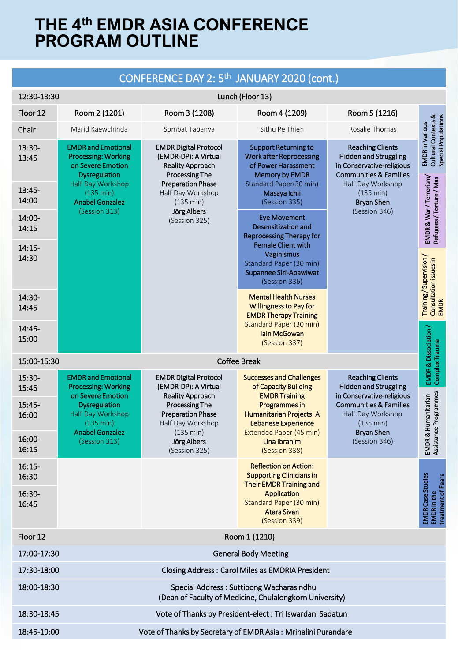#### CONFERENCE DAY 2: 5th JANUARY 2020 (cont.) 12:30-13:30 Lunch (Floor 13) Floor 12 Room 2 (1201) Room 3 (1208) Room 4 (1209) Room 5 (1216) Cultural Contexts &<br>Special Populations Cultural Contexts & Special Populations **EMDR** in Various EMDR in Various **Chair** Marid Kaewchinda Sombat Tapanya Sithu Pe Thien Rosalie Thomas 13:30- EMDR and Emotional EMDR Digital Protocol Support Returning to Reaching Clients Processing: Working (EMDR-DP): A Virtual Work after Reprocessing Hidden and Struggling 13:45 on Severe Emotion Reality Approach of Power Harassment in Conservative-religious **Dysregulation** Processing The Memory by EMDR Communities & Families EMDR & War / Terrorism/<br>Refugees / Torture / Mas EMDR & War / Terrorism/ Refugees / Torture / Mas Half Day Workshop Preparation Phase Standard Paper(30 min) Half Day Workshop 13:45- (135 min) Half Day Workshop Masaya Ichii (135 min) 14:00 (Session 335) Anabel Gonzalez (135 min) Bryan Shen (Session 313) Jörg Albers (Session 346) 14:00- Eye Movement (Session 325) Desensitization and 14:15 Reprocessing Therapy for Female Client with 14:15- Vaginismus Training/Supervision/ 14:30 Training / Supervision / Consultation issues in<br>EMDR Consultation issues in Standard Paper (30 min) Supannee Siri-Apawiwat (Session 336) 14:30- Mental Health Nurses Willingness to Pay for 14:45 EMDR Therapy Training Standard Paper (30 min) 14:45- EMDR & Dissociation / EMDR & Dissociation / Iain McGowan 15:00 (Session 337) Complex Trauma Complex Trauma 15:00-15:30 Coffee Break 15:30- EMDR and Emotional EMDR Digital Protocol Successes and Challenges Reaching Clients Processing: Working (EMDR-DP): A Virtual of Capacity Building Hidden and Struggling 15:45 Assistance Programmes on Severe Emotion Reality Approach EMDR Training in Conservative-religious EMDR & Humanitarian Assistance Programmes EMDR & Humanitarian 15:45- **Dysregulation** Processing The Communities & Families Programmes in Half Day Workshop Preparation Phase Humanitarian Projects: A Half Day Workshop 16:00 (135 min) Half Day Workshop Lebanese Experience (135 min) Anabel Gonzalez (135 min) Extended Paper (45 min) Bryan Shen 16:00- Jörg Albers Lina Ibrahim (Session 346) (Session 313) 16:15 (Session 325) (Session 338) 16:15- Reflection on Action: Supporting Clinicians in 16:30 **MDR** Case Studies EMDR Case Studies treatment of Fears Their EMDR Training and 16:30- Application EMDR in the Standard Paper (30 min) 16:45 Atara Sivan (Session 339) Floor 12 Room 1 (1210) 17:00-17:30 General Body Meeting 17:30-18:00 Closing Address : Carol Miles as EMDRIA President 18:00-18:30 Special Address : Suttipong Wacharasindhu (Dean of Faculty of Medicine, Chulalongkorn University) 18:30-18:45 Vote of Thanks by President-elect : Tri Iswardani Sadatun 18:45-19:00 Vote of Thanks by Secretary of EMDR Asia : Mrinalini Purandare